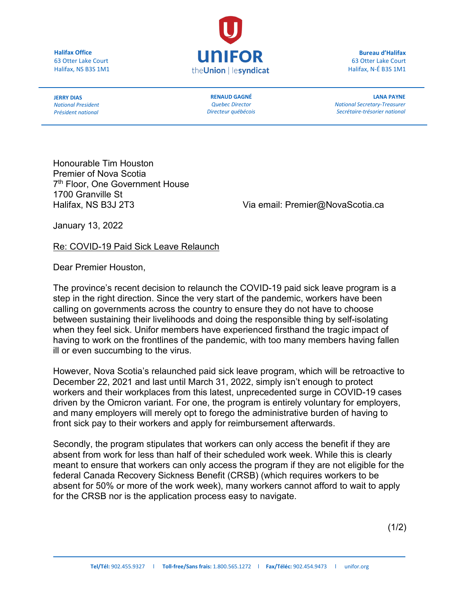**Halifax Office** 63 Otter Lake Court Halifax, NS B3S 1M1



**Bureau d'Halifax** 63 Otter Lake Court Halifax, N-É B3S 1M1

**JERRY DIAS** *National President Président national*

**RENAUD GAGNÉ** *Quebec Director Directeur québécois* 

**LANA PAYNE** *National Secretary-Treasurer Secrétaire-trésorier national*

Honourable Tim Houston Premier of Nova Scotia 7<sup>th</sup> Floor, One Government House 1700 Granville St

Halifax, NS B3J 2T3 Via email: Premier@NovaScotia.ca

January 13, 2022

Re: COVID-19 Paid Sick Leave Relaunch

Dear Premier Houston,

The province's recent decision to relaunch the COVID-19 paid sick leave program is a step in the right direction. Since the very start of the pandemic, workers have been calling on governments across the country to ensure they do not have to choose between sustaining their livelihoods and doing the responsible thing by self-isolating when they feel sick. Unifor members have experienced firsthand the tragic impact of having to work on the frontlines of the pandemic, with too many members having fallen ill or even succumbing to the virus.

However, Nova Scotia's relaunched paid sick leave program, which will be retroactive to December 22, 2021 and last until March 31, 2022, simply isn't enough to protect workers and their workplaces from this latest, unprecedented surge in COVID-19 cases driven by the Omicron variant. For one, the program is entirely voluntary for employers, and many employers will merely opt to forego the administrative burden of having to front sick pay to their workers and apply for reimbursement afterwards.

Secondly, the program stipulates that workers can only access the benefit if they are absent from work for less than half of their scheduled work week. While this is clearly meant to ensure that workers can only access the program if they are not eligible for the federal Canada Recovery Sickness Benefit (CRSB) (which requires workers to be absent for 50% or more of the work week), many workers cannot afford to wait to apply for the CRSB nor is the application process easy to navigate.

 $(1/2)$